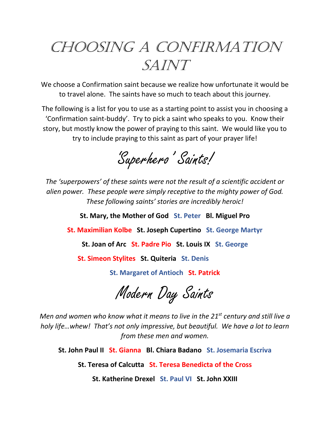## CHOOSING A CONFIRMATION SAINT

We choose a Confirmation saint because we realize how unfortunate it would be to travel alone. The saints have so much to teach about this journey.

The following is a list for you to use as a starting point to assist you in choosing a 'Confirmation saint-buddy'. Try to pick a saint who speaks to you. Know their story, but mostly know the power of praying to this saint. We would like you to try to include praying to this saint as part of your prayer life!

'Superhero' Saints!

*The 'superpowers' of these saints were not the result of a scientific accident or alien power. These people were simply receptive to the mighty power of God. These following saints' stories are incredibly heroic!*

**St. Mary, the Mother of God St. Peter Bl. Miguel Pro** 

**St. Maximilian Kolbe St. Joseph Cupertino St. George Martyr**

**St. Joan of Arc St. Padre Pio St. Louis IX St. George**

**St. Simeon Stylites St. Quiteria St. Denis** 

**St. Margaret of Antioch St. Patrick**

Modern Day Saints

*Men and women who know what it means to live in the 21st century and still live a holy life…whew! That's not only impressive, but beautiful. We have a lot to learn from these men and women.*

**St. John Paul II St. Gianna Bl. Chiara Badano St. Josemaria Escriva**

**St. Teresa of Calcutta St. Teresa Benedicta of the Cross**

**St. Katherine Drexel St. Paul VI St. John XXIII**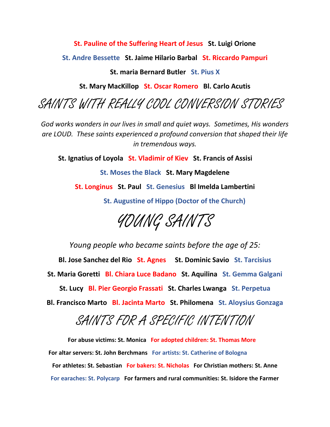**St. Pauline of the Suffering Heart of Jesus St. Luigi Orione**

**St. Andre Bessette St. Jaime Hilario Barbal St. Riccardo Pampuri**

## **St. maria Bernard Butler St. Pius X**

**St. Mary MacKillop St. Oscar Romero Bl. Carlo Acutis**

SAINTS WITH REALLY COOL CONVERSION STORIES

*God works wonders in our lives in small and quiet ways. Sometimes, His wonders are LOUD. These saints experienced a profound conversion that shaped their life in tremendous ways.*

**St. Ignatius of Loyola St. Vladimir of Kiev St. Francis of Assisi**

**St. Moses the Black St. Mary Magdelene St. Longinus St. Paul St. Genesius Bl Imelda Lambertini**

**St. Augustine of Hippo (Doctor of the Church)**



*Young people who became saints before the age of 25:*

**Bl. Jose Sanchez del Rio St. Agnes St. Dominic Savio St. Tarcisius St. Maria Goretti Bl. Chiara Luce Badano St. Aquilina St. Gemma Galgani**

**St. Lucy Bl. Pier Georgio Frassati St. Charles Lwanga St. Perpetua Bl. Francisco Marto Bl. Jacinta Marto St. Philomena St. Aloysius Gonzaga**

## SAINTS FOR A SPECIFIC INTENTION

**For abuse victims: St. Monica For adopted children: St. Thomas More For altar servers: St. John Berchmans For artists: St. Catherine of Bologna For athletes: St. Sebastian For bakers: St. Nicholas For Christian mothers: St. Anne For earaches: St. Polycarp For farmers and rural communities: St. Isidore the Farmer**